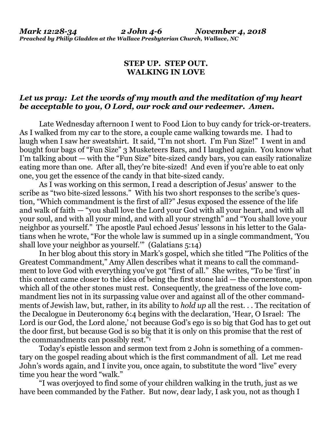## **STEP UP. STEP OUT. WALKING IN LOVE**

## *Let us pray: Let the words of my mouth and the meditation of my heart be acceptable to you, O Lord, our rock and our redeemer. Amen.*

Late Wednesday afternoon I went to Food Lion to buy candy for trick-or-treaters. As I walked from my car to the store, a couple came walking towards me. I had to laugh when I saw her sweatshirt. It said, "I'm not short. I'm Fun Size!" I went in and bought four bags of "Fun Size" 3 Musketeers Bars, and I laughed again. You know what I'm talking about — with the "Fun Size" bite-sized candy bars, you can easily rationalize eating more than one. After all, they're bite-sized! And even if you're able to eat only one, you get the essence of the candy in that bite-sized candy.

As I was working on this sermon, I read a description of Jesus' answer to the scribe as "two bite-sized lessons." With his two short responses to the scribe's question, "Which commandment is the first of all?" Jesus exposed the essence of the life and walk of faith — "you shall love the Lord your God with all your heart, and with all your soul, and with all your mind, and with all your strength" and "You shall love your neighbor as yourself." The apostle Paul echoed Jesus' lessons in his letter to the Galatians when he wrote, "For the whole law is summed up in a single commandment, 'You shall love your neighbor as yourself." (Galatians 5:14)

In her blog about this story in Mark's gospel, which she titled "The Politics of the Greatest Commandment," Amy Allen describes what it means to call the commandment to love God with everything you've got "first of all." She writes, "To be 'first' in this context came closer to the idea of being the first stone laid — the cornerstone, upon which all of the other stones must rest. Consequently, the greatness of the love commandment lies not in its surpassing value over and against all of the other commandments of Jewish law, but, rather, in its ability to *hold up* all the rest. . . The recitation of the Decalogue in Deuteronomy 6:4 begins with the declaration, 'Hear, O Israel: The Lord is our God, the Lord alone,' not because God's ego is so big that God has to get out the door first, but because God is so big that it is only on this promise that the rest of the commandments can possibly rest."<sup>1</sup>

Today's epistle lesson and sermon text from 2 John is something of a commentary on the gospel reading about which is the first commandment of all. Let me read John's words again, and I invite you, once again, to substitute the word "live" every time you hear the word "walk."

"I was overjoyed to find some of your children walking in the truth, just as we have been commanded by the Father. But now, dear lady, I ask you, not as though I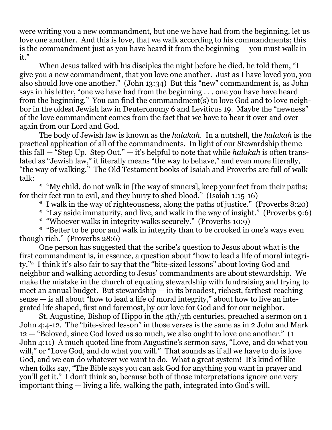were writing you a new commandment, but one we have had from the beginning, let us love one another. And this is love, that we walk according to his commandments; this is the commandment just as you have heard it from the beginning — you must walk in it."

When Jesus talked with his disciples the night before he died, he told them, "I give you a new commandment, that you love one another. Just as I have loved you, you also should love one another." (John 13:34) But this "new" commandment is, as John says in his letter, "one we have had from the beginning . . . one you have have heard from the beginning." You can find the commandment(s) to love God and to love neighbor in the oldest Jewish law in Deuteronomy 6 and Leviticus 19. Maybe the "newness" of the love commandment comes from the fact that we have to hear it over and over again from our Lord and God.

The body of Jewish law is known as the *halakah*. In a nutshell, the *halakah* is the practical application of all of the commandments. In light of our Stewardship theme this fall — "Step Up. Step Out." — it's helpful to note that while *halakah* is often translated as "Jewish law," it literally means "the way to behave," and even more literally, "the way of walking." The Old Testament books of Isaiah and Proverbs are full of walk talk:

\* "My child, do not walk in [the way of sinners], keep your feet from their paths; for their feet run to evil, and they hurry to shed blood." (Isaiah 1:15-16)

- \* I walk in the way of righteousness, along the paths of justice." (Proverbs 8:20)
- \* "Lay aside immaturity, and live, and walk in the way of insight." (Proverbs 9:6)
- \* "Whoever walks in integrity walks securely." (Proverbs 10:9)

\* "Better to be poor and walk in integrity than to be crooked in one's ways even though rich." (Proverbs 28:6)

One person has suggested that the scribe's question to Jesus about what is the first commandment is, in essence, a question about "how to lead a life of moral integrity."2 I think it's also fair to say that the "bite-sized lessons" about loving God and neighbor and walking according to Jesus' commandments are about stewardship. We make the mistake in the church of equating stewardship with fundraising and trying to meet an annual budget. But stewardship — in its broadest, richest, farthest-reaching sense — is all about "how to lead a life of moral integrity," about how to live an integrated life shaped, first and foremost, by our love for God and for our neighbor.

St. Augustine, Bishop of Hippo in the 4th/5th centuries, preached a sermon on 1 John 4:4-12. The "bite-sized lesson" in those verses is the same as in 2 John and Mark 12 — "Beloved, since God loved us so much, we also ought to love one another." (1 John 4:11) A much quoted line from Augustine's sermon says, "Love, and do what you will," or "Love God, and do what you will." That sounds as if all we have to do is love God, and we can do whatever we want to do. What a great system! It's kind of like when folks say, "The Bible says you can ask God for anything you want in prayer and you'll get it." I don't think so, because both of those interpretations ignore one very important thing — living a life, walking the path, integrated into God's will.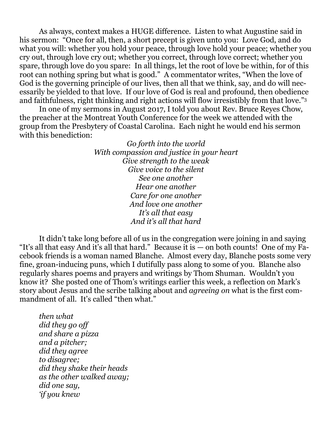As always, context makes a HUGE difference. Listen to what Augustine said in his sermon: "Once for all, then, a short precept is given unto you: Love God, and do what you will: whether you hold your peace, through love hold your peace; whether you cry out, through love cry out; whether you correct, through love correct; whether you spare, through love do you spare: In all things, let the root of love be within, for of this root can nothing spring but what is good." A commentator writes, "When the love of God is the governing principle of our lives, then all that we think, say, and do will necessarily be yielded to that love. If our love of God is real and profound, then obedience and faithfulness, right thinking and right actions will flow irresistibly from that love."<sup>3</sup>

In one of my sermons in August 2017, I told you about Rev. Bruce Reyes Chow, the preacher at the Montreat Youth Conference for the week we attended with the group from the Presbytery of Coastal Carolina. Each night he would end his sermon with this benediction:

> *Go forth into the world With compassion and justice in your heart Give strength to the weak Give voice to the silent See one another Hear one another Care for one another And love one another It's all that easy And it's all that hard*

It didn't take long before all of us in the congregation were joining in and saying "It's all that easy And it's all that hard." Because it is — on both counts! One of my Facebook friends is a woman named Blanche. Almost every day, Blanche posts some very fine, groan-inducing puns, which I dutifully pass along to some of you. Blanche also regularly shares poems and prayers and writings by Thom Shuman. Wouldn't you know it? She posted one of Thom's writings earlier this week, a reflection on Mark's story about Jesus and the scribe talking about and *agreeing on* what is the first commandment of all. It's called "then what."

*then what did they go off and share a pizza and a pitcher; did they agree to disagree; did they shake their heads as the other walked away; did one say, 'if you knew*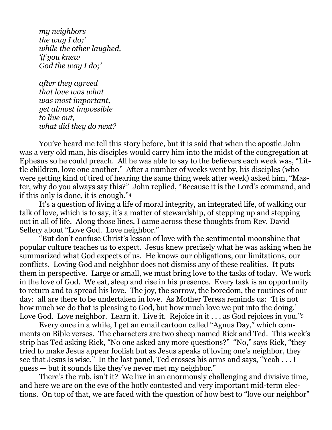*my neighbors the way I do;' while the other laughed, 'if you knew God the way I do;'*

*after they agreed that love was what was most important, yet almost impossible to live out, what did they do next?*

You've heard me tell this story before, but it is said that when the apostle John was a very old man, his disciples would carry him into the midst of the congregation at Ephesus so he could preach. All he was able to say to the believers each week was, "Little children, love one another." After a number of weeks went by, his disciples (who were getting kind of tired of hearing the same thing week after week) asked him, "Master, why do you always say this?" John replied, "Because it is the Lord's command, and if this only is done, it is enough."<sup>4</sup>

It's a question of living a life of moral integrity, an integrated life, of walking our talk of love, which is to say, it's a matter of stewardship, of stepping up and stepping out in all of life. Along those lines, I came across these thoughts from Rev. David Sellery about "Love God. Love neighbor."

"But don't confuse Christ's lesson of love with the sentimental moonshine that popular culture teaches us to expect. Jesus knew precisely what he was asking when he summarized what God expects of us. He knows our obligations, our limitations, our conflicts. Loving God and neighbor does not dismiss any of these realities. It puts them in perspective. Large or small, we must bring love to the tasks of today. We work in the love of God. We eat, sleep and rise in his presence. Every task is an opportunity to return and to spread his love. The joy, the sorrow, the boredom, the routines of our day: all are there to be undertaken in love. As Mother Teresa reminds us: 'It is not how much we do that is pleasing to God, but how much love we put into the doing.' Love God. Love neighbor. Learn it. Live it. Rejoice in it... as God rejoices in you."<sup>5</sup>

Every once in a while, I get an email cartoon called "Agnus Day," which comments on Bible verses. The characters are two sheep named Rick and Ted. This week's strip has Ted asking Rick, "No one asked any more questions?" "No," says Rick, "they tried to make Jesus appear foolish but as Jesus speaks of loving one's neighbor, they see that Jesus is wise." In the last panel, Ted crosses his arms and says, "Yeah . . . I guess — but it sounds like they've never met my neighbor."

There's the rub, isn't it? We live in an enormously challenging and divisive time, and here we are on the eve of the hotly contested and very important mid-term elections. On top of that, we are faced with the question of how best to "love our neighbor"